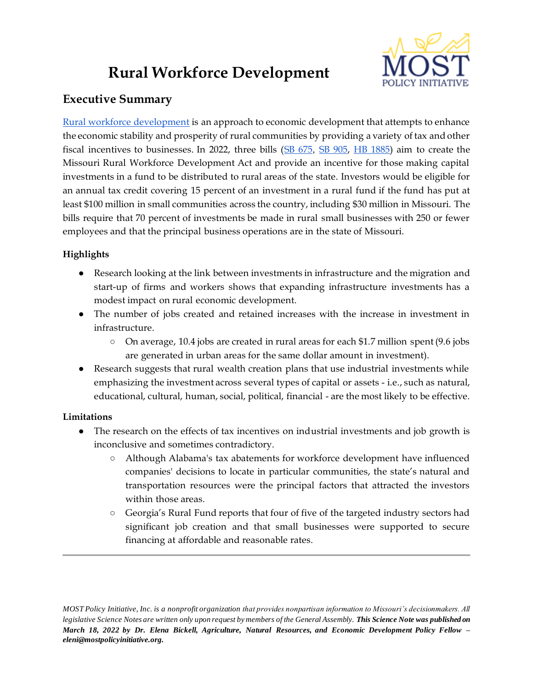# **Rural Workforce Development**



# **Executive Summary**

[Rural workforce development](https://www.rd.usda.gov/sites/default/files/usdard_ruralworkforceguide508.pdf) is an approach to economic development that attempts to enhance the economic stability and prosperity of rural communities by providing a variety of tax and other fiscal incentives to businesses. In 2022, three bills [\(SB 675](https://www.senate.mo.gov/22info/BTS_Web/Bill.aspx?SessionType=R&BillID=71259720), [SB 905,](https://www.senate.mo.gov/22info/BTS_Web/Bill.aspx?SessionType=R&BillID=71259809) [HB 1885\)](https://house.mo.gov/Bill.aspx?bill=HB1885&year=2022&code=R) aim to create the Missouri Rural Workforce Development Act and provide an incentive for those making capital investments in a fund to be distributed to rural areas of the state. Investors would be eligible for an annual tax credit covering 15 percent of an investment in a rural fund if the fund has put at least \$100 million in small communities across the country, including \$30 million in Missouri. The bills require that 70 percent of investments be made in rural small businesses with 250 or fewer employees and that the principal business operations are in the state of Missouri.

## **Highlights**

- Research looking at the link between investments in infrastructure and the migration and start-up of firms and workers shows that expanding infrastructure investments has a modest impact on rural economic development.
- The number of jobs created and retained increases with the increase in investment in infrastructure.
	- On average, 10.4 jobs are created in rural areas for each \$1.7 million spent (9.6 jobs are generated in urban areas for the same dollar amount in investment).
- Research suggests that rural wealth creation plans that use industrial investments while emphasizing the investment across several types of capital or assets - i.e., such as natural, educational, cultural, human, social, political, financial - are the most likely to be effective.

## **Limitations**

- The research on the effects of tax incentives on industrial investments and job growth is inconclusive and sometimes contradictory.
	- Although Alabama's tax abatements for workforce development have influenced companies' decisions to locate in particular communities, the state's natural and transportation resources were the principal factors that attracted the investors within those areas.
	- Georgia's Rural Fund reports that four of five of the targeted industry sectors had significant job creation and that small businesses were supported to secure financing at affordable and reasonable rates.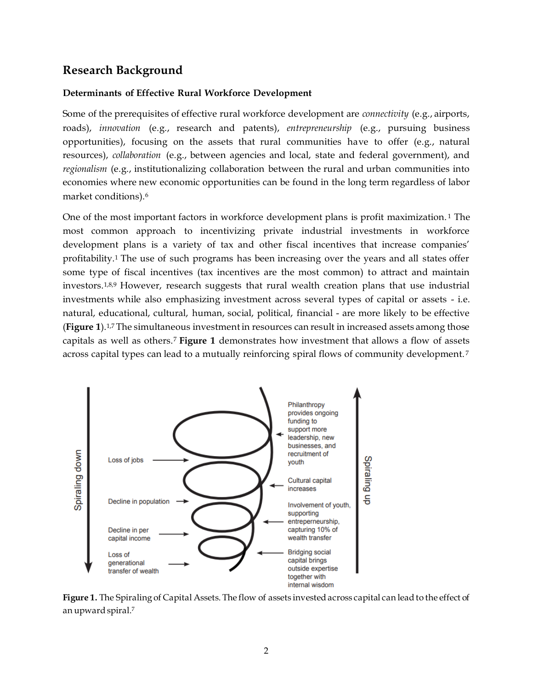## **Research Background**

### **Determinants of Effective Rural Workforce Development**

Some of the prerequisites of effective rural workforce development are *connectivity* (e.g., airports, roads), *innovation* (e.g., research and patents), *entrepreneurship* (e.g., pursuing business opportunities), focusing on the assets that rural communities have to offer (e.g., natural resources), *collaboration* (e.g., between agencies and local, state and federal government), and *regionalism* (e.g., institutionalizing collaboration between the rural and urban communities into economies where new economic opportunities can be found in the long term regardless of labor market conditions).<sup>6</sup>

One of the most important factors in workforce development plans is profit maximization. <sup>1</sup> The most common approach to incentivizing private industrial investments in workforce development plans is a variety of tax and other fiscal incentives that increase companies' profitability.<sup>1</sup> The use of such programs has been increasing over the years and all states offer some type of fiscal incentives (tax incentives are the most common) to attract and maintain investors.1,8,9 However, research suggests that rural wealth creation plans that use industrial investments while also emphasizing investment across several types of capital or assets - i.e. natural, educational, cultural, human, social, political, financial - are more likely to be effective (**Figure 1**).1,7 The simultaneous investment in resources can result in increased assets among those capitals as well as others.<sup>7</sup> **Figure 1** demonstrates how investment that allows a flow of assets across capital types can lead to a mutually reinforcing spiral flows of community development. <sup>7</sup>



**Figure 1.** The Spiraling of Capital Assets. The flow of assets invested across capital can lead to the effect of an upward spiral.7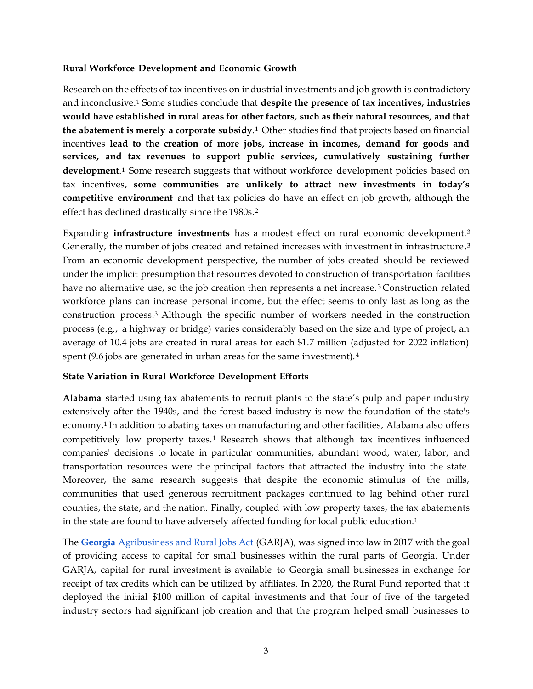### **Rural Workforce Development and Economic Growth**

Research on the effects of tax incentives on industrial investments and job growth is contradictory and inconclusive.<sup>1</sup> Some studies conclude that **despite the presence of tax incentives, industries would have established in rural areas for other factors, such as their natural resources, and that the abatement is merely a corporate subsidy**. <sup>1</sup> Other studies find that projects based on financial incentives **lead to the creation of more jobs, increase in incomes, demand for goods and services, and tax revenues to support public services, cumulatively sustaining further**  development.<sup>1</sup> Some research suggests that without workforce development policies based on tax incentives, **some communities are unlikely to attract new investments in today's competitive environment** and that tax policies do have an effect on job growth, although the effect has declined drastically since the 1980s.<sup>2</sup>

Expanding **infrastructure investments** has a modest effect on rural economic development. <sup>3</sup> Generally, the number of jobs created and retained increases with investment in infrastructure. 3 From an economic development perspective, the number of jobs created should be reviewed under the implicit presumption that resources devoted to construction of transportation facilities have no alternative use, so the job creation then represents a net increase.<sup>3</sup> Construction related workforce plans can increase personal income, but the effect seems to only last as long as the construction process.<sup>3</sup> Although the specific number of workers needed in the construction process (e.g., a highway or bridge) varies considerably based on the size and type of project, an average of 10.4 jobs are created in rural areas for each \$1.7 million (adjusted for 2022 inflation) spent (9.6 jobs are generated in urban areas for the same investment).<sup>4</sup>

## **State Variation in Rural Workforce Development Efforts**

**Alabama** started using tax abatements to recruit plants to the state's pulp and paper industry extensively after the 1940s, and the forest-based industry is now the foundation of the state's economy.<sup>1</sup> In addition to abating taxes on manufacturing and other facilities, Alabama also offers competitively low property taxes.<sup>1</sup> Research shows that although tax incentives influenced companies' decisions to locate in particular communities, abundant wood, water, labor, and transportation resources were the principal factors that attracted the industry into the state. Moreover, the same research suggests that despite the economic stimulus of the mills, communities that used generous recruitment packages continued to lag behind other rural counties, the state, and the nation. Finally, coupled with low property taxes, the tax abatements in the state are found to have adversely affected funding for local public education.<sup>1</sup>

The **[Georgia](https://www.dca.ga.gov/community-economic-development/incentive-programs/georgia-agribusiness-rural-jobs-act)** [Agribusiness and Rural Jobs Act \(](https://www.dca.ga.gov/community-economic-development/incentive-programs/georgia-agribusiness-rural-jobs-act)GARJA), was signed into law in 2017 with the goal of providing access to capital for small businesses within the rural parts of Georgia. Under GARJA, capital for rural investment is available to Georgia small businesses in exchange for receipt of tax credits which can be utilized by affiliates. In 2020, the Rural Fund reported that it deployed the initial \$100 million of capital investments and that four of five of the targeted industry sectors had significant job creation and that the program helped small businesses to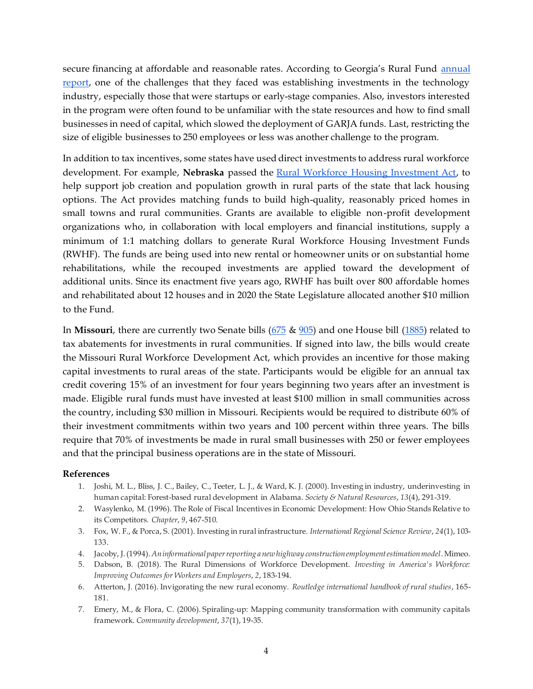secure financing at affordable and reasonable rates. According to Georgia's Rural Fund annual [report,](https://www.dca.ga.gov/sites/default/files/garja_initial_report_2020.pdf) one of the challenges that they faced was establishing investments in the technology industry, especially those that were startups or early-stage companies. Also, investors interested in the program were often found to be unfamiliar with the state resources and how to find small businesses in need of capital, which slowed the deployment of GARJA funds. Last, restricting the size of eligible businesses to 250 employees or less was another challenge to the program.

In addition to tax incentives, some states have used direct investments to address rural workforce development. For example, **Nebraska** passed the [Rural Workforce Housing Investment Act,](https://nebraskalegislature.gov/laws/statutes.php?statute=81-1228) to help support job creation and population growth in rural parts of the state that lack housing options. The Act provides matching funds to build high-quality, reasonably priced homes in small towns and rural communities. Grants are available to eligible non-profit development organizations who, in collaboration with local employers and financial institutions, supply a minimum of 1:1 matching dollars to generate Rural Workforce Housing Investment Funds (RWHF). The funds are being used into new rental or homeowner units or on substantial home rehabilitations, while the recouped investments are applied toward the development of additional units. Since its enactment five years ago, RWHF has built over 800 affordable homes and rehabilitated about 12 houses and in 2020 the State Legislature allocated another \$10 million to the Fund.

In **Missouri**, there are currently two Senate bills [\(675](https://www.senate.mo.gov/22info/BTS_Web/Bill.aspx?SessionType=R&BillID=71259720) & [905\)](https://www.senate.mo.gov/22info/BTS_Web/Bill.aspx?SessionType=R&BillID=71259809) and one House bill [\(1885\)](https://house.mo.gov/Bill.aspx?bill=HB1885&year=2022&code=R) related to tax abatements for investments in rural communities. If signed into law, the bills would create the Missouri Rural Workforce Development Act, which provides an incentive for those making capital investments to rural areas of the state. Participants would be eligible for an annual tax credit covering 15% of an investment for four years beginning two years after an investment is made. Eligible rural funds must have invested at least \$100 million in small communities across the country, including \$30 million in Missouri. Recipients would be required to distribute 60% of their investment commitments within two years and 100 percent within three years. The bills require that 70% of investments be made in rural small businesses with 250 or fewer employees and that the principal business operations are in the state of Missouri.

#### **References**

- 1. Joshi, M. L., Bliss, J. C., Bailey, C., Teeter, L. J., & Ward, K. J. (2000). Investing in industry, underinvesting in human capital: Forest-based rural development in Alabama. *Society & Natural Resources*, *13*(4), 291-319.
- 2. Wasylenko, M. (1996). The Role of Fiscal Incentives in Economic Development: How Ohio Stands Relative to its Competitors. *Chapter*, *9*, 467-510.
- 3. Fox, W. F., & Porca, S. (2001). Investing in rural infrastructure. *International Regional Science Review*, *24*(1), 103- 133.
- 4. Jacoby, J. (1994). *An informational paper reporting a new highway construction employment estimation model*. Mimeo.
- 5. Dabson, B. (2018). The Rural Dimensions of Workforce Development. *Investing in America's Workforce: Improving Outcomes for Workers and Employers*, *2*, 183-194.
- 6. Atterton, J. (2016). Invigorating the new rural economy. *Routledge international handbook of rural studies*, 165- 181.
- 7. Emery, M., & Flora, C. (2006). Spiraling-up: Mapping community transformation with community capitals framework. *Community development*, *37*(1), 19-35.